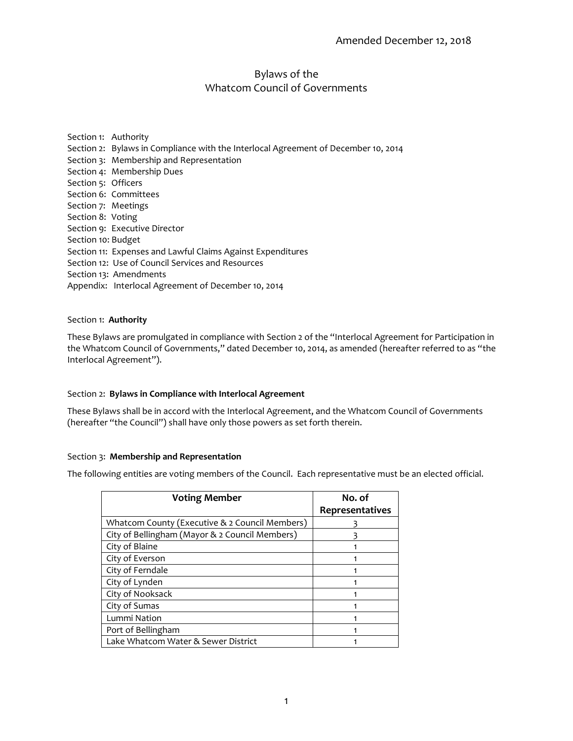# Bylaws of the Whatcom Council of Governments

Section 1: Authority Section 2: Bylaws in Compliance with the Interlocal Agreement of December 10, 2014 Section 3: Membership and Representation Section 4: Membership Dues Section 5: Officers Section 6: Committees Section 7: Meetings Section 8: Voting Section 9: Executive Director Section 10: Budget Section 11: Expenses and Lawful Claims Against Expenditures Section 12: Use of Council Services and Resources Section 13: Amendments Appendix: Interlocal Agreement of December 10, 2014

### Section 1: **Authority**

These Bylaws are promulgated in compliance with Section 2 of the "Interlocal Agreement for Participation in the Whatcom Council of Governments," dated December 10, 2014, as amended (hereafter referred to as "the Interlocal Agreement").

# Section 2: **Bylaws in Compliance with Interlocal Agreement**

These Bylaws shall be in accord with the Interlocal Agreement, and the Whatcom Council of Governments (hereafter "the Council") shall have only those powers as set forth therein.

#### Section 3: **Membership and Representation**

The following entities are voting members of the Council. Each representative must be an elected official.

| <b>Voting Member</b>                           | No. of          |
|------------------------------------------------|-----------------|
|                                                | Representatives |
| Whatcom County (Executive & 2 Council Members) |                 |
| City of Bellingham (Mayor & 2 Council Members) |                 |
| City of Blaine                                 |                 |
| City of Everson                                |                 |
| City of Ferndale                               |                 |
| City of Lynden                                 |                 |
| City of Nooksack                               |                 |
| City of Sumas                                  |                 |
| Lummi Nation                                   |                 |
| Port of Bellingham                             |                 |
| Lake Whatcom Water & Sewer District            |                 |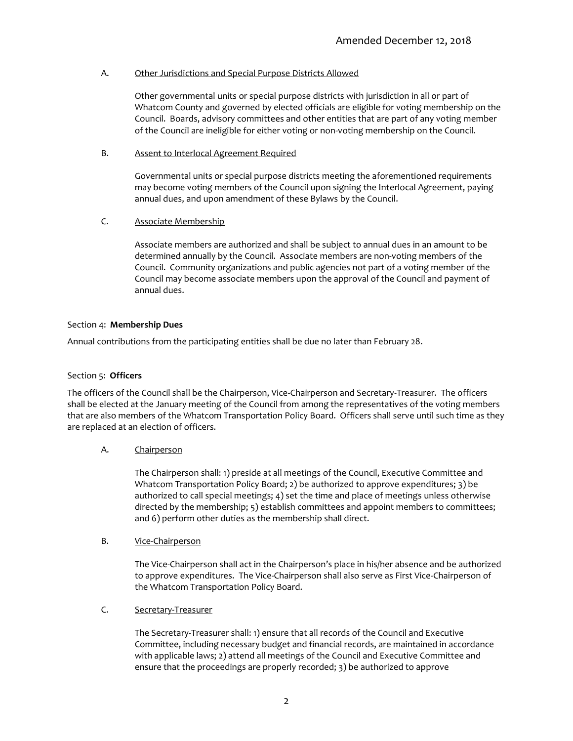### A. Other Jurisdictions and Special Purpose Districts Allowed

Other governmental units or special purpose districts with jurisdiction in all or part of Whatcom County and governed by elected officials are eligible for voting membership on the Council. Boards, advisory committees and other entities that are part of any voting member of the Council are ineligible for either voting or non-voting membership on the Council.

### B. Assent to Interlocal Agreement Required

Governmental units or special purpose districts meeting the aforementioned requirements may become voting members of the Council upon signing the Interlocal Agreement, paying annual dues, and upon amendment of these Bylaws by the Council.

# C. Associate Membership

Associate members are authorized and shall be subject to annual dues in an amount to be determined annually by the Council. Associate members are non-voting members of the Council. Community organizations and public agencies not part of a voting member of the Council may become associate members upon the approval of the Council and payment of annual dues.

### Section 4: **Membership Dues**

Annual contributions from the participating entities shall be due no later than February 28.

### Section 5: **Officers**

The officers of the Council shall be the Chairperson, Vice-Chairperson and Secretary-Treasurer. The officers shall be elected at the January meeting of the Council from among the representatives of the voting members that are also members of the Whatcom Transportation Policy Board. Officers shall serve until such time as they are replaced at an election of officers.

# A. Chairperson

The Chairperson shall: 1) preside at all meetings of the Council, Executive Committee and Whatcom Transportation Policy Board; 2) be authorized to approve expenditures; 3) be authorized to call special meetings; 4) set the time and place of meetings unless otherwise directed by the membership; 5) establish committees and appoint members to committees; and 6) perform other duties as the membership shall direct.

#### B. Vice-Chairperson

The Vice-Chairperson shall act in the Chairperson's place in his/her absence and be authorized to approve expenditures. The Vice-Chairperson shall also serve as First Vice-Chairperson of the Whatcom Transportation Policy Board.

# C. Secretary-Treasurer

The Secretary-Treasurer shall: 1) ensure that all records of the Council and Executive Committee, including necessary budget and financial records, are maintained in accordance with applicable laws; 2) attend all meetings of the Council and Executive Committee and ensure that the proceedings are properly recorded; 3) be authorized to approve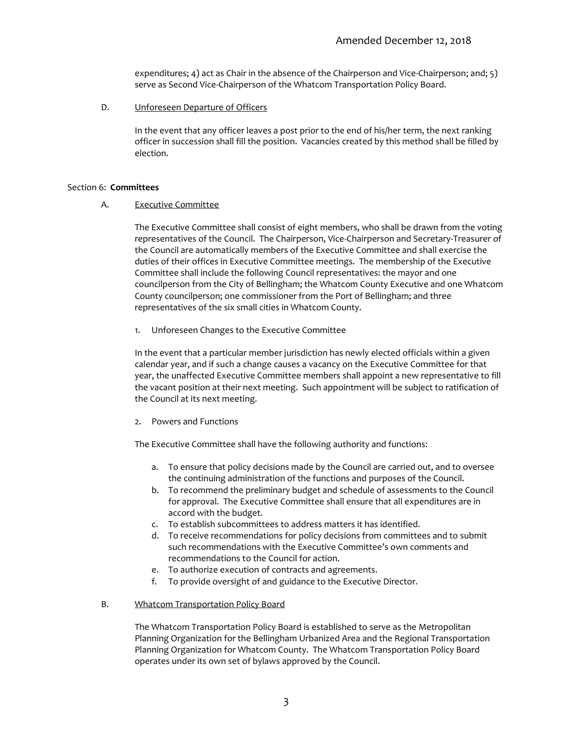expenditures; 4) act as Chair in the absence of the Chairperson and Vice-Chairperson; and; 5) serve as Second Vice-Chairperson of the Whatcom Transportation Policy Board.

D. Unforeseen Departure of Officers

In the event that any officer leaves a post prior to the end of his/her term, the next ranking officer in succession shall fill the position. Vacancies created by this method shall be filled by election.

#### Section 6: **Committees**

#### A. Executive Committee

The Executive Committee shall consist of eight members, who shall be drawn from the voting representatives of the Council. The Chairperson, Vice-Chairperson and Secretary-Treasurer of the Council are automatically members of the Executive Committee and shall exercise the duties of their offices in Executive Committee meetings. The membership of the Executive Committee shall include the following Council representatives: the mayor and one councilperson from the City of Bellingham; the Whatcom County Executive and one Whatcom County councilperson; one commissioner from the Port of Bellingham; and three representatives of the six small cities in Whatcom County.

1. Unforeseen Changes to the Executive Committee

In the event that a particular member jurisdiction has newly elected officials within a given calendar year, and if such a change causes a vacancy on the Executive Committee for that year, the unaffected Executive Committee members shall appoint a new representative to fill the vacant position at their next meeting. Such appointment will be subject to ratification of the Council at its next meeting.

2. Powers and Functions

The Executive Committee shall have the following authority and functions:

- a. To ensure that policy decisions made by the Council are carried out, and to oversee the continuing administration of the functions and purposes of the Council.
- b. To recommend the preliminary budget and schedule of assessments to the Council for approval. The Executive Committee shall ensure that all expenditures are in accord with the budget.
- c. To establish subcommittees to address matters it has identified.
- d. To receive recommendations for policy decisions from committees and to submit such recommendations with the Executive Committee's own comments and recommendations to the Council for action.
- e. To authorize execution of contracts and agreements.
- f. To provide oversight of and guidance to the Executive Director.

### B. Whatcom Transportation Policy Board

The Whatcom Transportation Policy Board is established to serve as the Metropolitan Planning Organization for the Bellingham Urbanized Area and the Regional Transportation Planning Organization for Whatcom County. The Whatcom Transportation Policy Board operates under its own set of bylaws approved by the Council.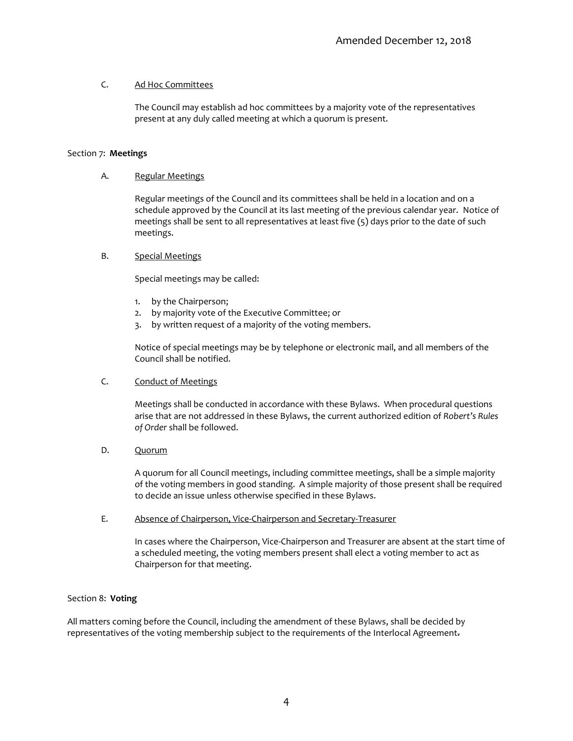# C. Ad Hoc Committees

The Council may establish ad hoc committees by a majority vote of the representatives present at any duly called meeting at which a quorum is present.

### Section 7: **Meetings**

### A. Regular Meetings

Regular meetings of the Council and its committees shall be held in a location and on a schedule approved by the Council at its last meeting of the previous calendar year. Notice of meetings shall be sent to all representatives at least five (5) days prior to the date of such meetings.

### B. Special Meetings

Special meetings may be called:

- 1. by the Chairperson;
- 2. by majority vote of the Executive Committee; or
- 3. by written request of a majority of the voting members.

Notice of special meetings may be by telephone or electronic mail, and all members of the Council shall be notified.

### C. Conduct of Meetings

Meetings shall be conducted in accordance with these Bylaws. When procedural questions arise that are not addressed in these Bylaws, the current authorized edition of *Robert's Rules of Order* shall be followed.

D. Quorum

A quorum for all Council meetings, including committee meetings, shall be a simple majority of the voting members in good standing. A simple majority of those present shall be required to decide an issue unless otherwise specified in these Bylaws.

E. Absence of Chairperson, Vice-Chairperson and Secretary-Treasurer

In cases where the Chairperson, Vice-Chairperson and Treasurer are absent at the start time of a scheduled meeting, the voting members present shall elect a voting member to act as Chairperson for that meeting.

#### Section 8: **Voting**

All matters coming before the Council, including the amendment of these Bylaws, shall be decided by representatives of the voting membership subject to the requirements of the Interlocal Agreement.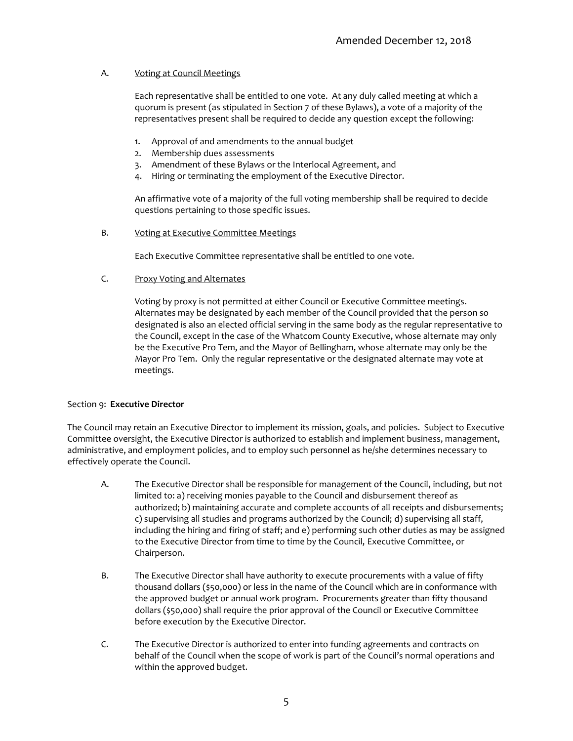### A. Voting at Council Meetings

Each representative shall be entitled to one vote. At any duly called meeting at which a quorum is present (as stipulated in Section 7 of these Bylaws), a vote of a majority of the representatives present shall be required to decide any question except the following:

- 1. Approval of and amendments to the annual budget
- 2. Membership dues assessments
- 3. Amendment of these Bylaws or the Interlocal Agreement, and
- 4. Hiring or terminating the employment of the Executive Director.

An affirmative vote of a majority of the full voting membership shall be required to decide questions pertaining to those specific issues.

B. Voting at Executive Committee Meetings

Each Executive Committee representative shall be entitled to one vote.

#### C. Proxy Voting and Alternates

Voting by proxy is not permitted at either Council or Executive Committee meetings. Alternates may be designated by each member of the Council provided that the person so designated is also an elected official serving in the same body as the regular representative to the Council, except in the case of the Whatcom County Executive, whose alternate may only be the Executive Pro Tem, and the Mayor of Bellingham, whose alternate may only be the Mayor Pro Tem. Only the regular representative or the designated alternate may vote at meetings.

#### Section 9: **Executive Director**

The Council may retain an Executive Director to implement its mission, goals, and policies. Subject to Executive Committee oversight, the Executive Director is authorized to establish and implement business, management, administrative, and employment policies, and to employ such personnel as he/she determines necessary to effectively operate the Council.

- A. The Executive Director shall be responsible for management of the Council, including, but not limited to: a) receiving monies payable to the Council and disbursement thereof as authorized; b) maintaining accurate and complete accounts of all receipts and disbursements; c) supervising all studies and programs authorized by the Council; d) supervising all staff, including the hiring and firing of staff; and e) performing such other duties as may be assigned to the Executive Director from time to time by the Council, Executive Committee, or Chairperson.
- B. The Executive Director shall have authority to execute procurements with a value of fifty thousand dollars (\$50,000) or less in the name of the Council which are in conformance with the approved budget or annual work program. Procurements greater than fifty thousand dollars (\$50,000) shall require the prior approval of the Council or Executive Committee before execution by the Executive Director.
- C. The Executive Director is authorized to enter into funding agreements and contracts on behalf of the Council when the scope of work is part of the Council's normal operations and within the approved budget.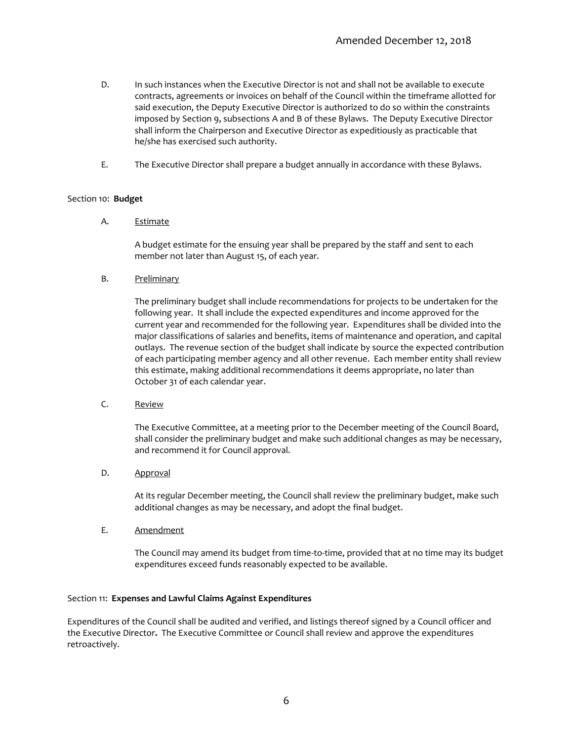- D. In such instances when the Executive Director is not and shall not be available to execute contracts, agreements or invoices on behalf of the Council within the timeframe allotted for said execution, the Deputy Executive Director is authorized to do so within the constraints imposed by Section 9, subsections A and B of these Bylaws. The Deputy Executive Director shall inform the Chairperson and Executive Director as expeditiously as practicable that he/she has exercised such authority.
- E. The Executive Director shall prepare a budget annually in accordance with these Bylaws.

#### Section 10: **Budget**

A. Estimate

A budget estimate for the ensuing year shall be prepared by the staff and sent to each member not later than August 15, of each year.

B. Preliminary

The preliminary budget shall include recommendations for projects to be undertaken for the following year. It shall include the expected expenditures and income approved for the current year and recommended for the following year. Expenditures shall be divided into the major classifications of salaries and benefits, items of maintenance and operation, and capital outlays. The revenue section of the budget shall indicate by source the expected contribution of each participating member agency and all other revenue. Each member entity shall review this estimate, making additional recommendations it deems appropriate, no later than October 31 of each calendar year.

C. Review

The Executive Committee, at a meeting prior to the December meeting of the Council Board, shall consider the preliminary budget and make such additional changes as may be necessary, and recommend it for Council approval.

D. **Approval** 

At its regular December meeting, the Council shall review the preliminary budget, make such additional changes as may be necessary, and adopt the final budget.

E. Amendment

The Council may amend its budget from time-to-time, provided that at no time may its budget expenditures exceed funds reasonably expected to be available.

#### Section 11: **Expenses and Lawful Claims Against Expenditures**

Expenditures of the Council shall be audited and verified, and listings thereof signed by a Council officer and the Executive Director**.** The Executive Committee or Council shall review and approve the expenditures retroactively.